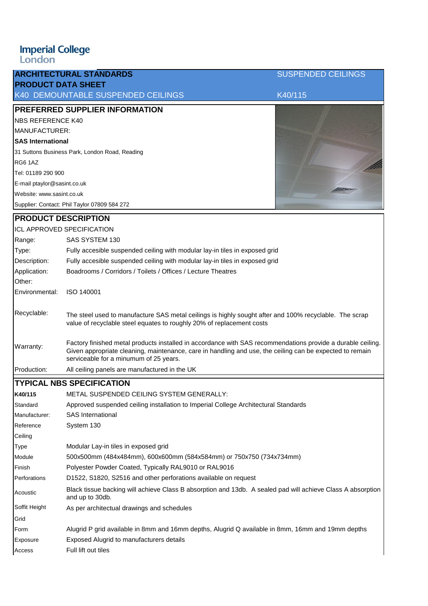## **Imperial College**<br>London

| <b>PRODUCT DATA SHEET</b>                      | <b>ARCHITECTURAL STANDARDS</b>                                                                                                                                                                                                                                    | <b>SUSPENDED CEILINGS</b> |  |  |
|------------------------------------------------|-------------------------------------------------------------------------------------------------------------------------------------------------------------------------------------------------------------------------------------------------------------------|---------------------------|--|--|
|                                                | K40 DEMOUNTABLE SUSPENDED CEILINGS                                                                                                                                                                                                                                | K40/115                   |  |  |
| PREFERRED SUPPLIER INFORMATION                 |                                                                                                                                                                                                                                                                   |                           |  |  |
| <b>NBS REFERENCE K40</b>                       |                                                                                                                                                                                                                                                                   |                           |  |  |
| MANUFACTURER:                                  |                                                                                                                                                                                                                                                                   |                           |  |  |
| <b>SAS International</b>                       |                                                                                                                                                                                                                                                                   |                           |  |  |
| 31 Suttons Business Park, London Road, Reading |                                                                                                                                                                                                                                                                   |                           |  |  |
| RG6 1AZ                                        |                                                                                                                                                                                                                                                                   |                           |  |  |
| Tel: 01189 290 900                             |                                                                                                                                                                                                                                                                   |                           |  |  |
| E-mail ptaylor@sasint.co.uk                    |                                                                                                                                                                                                                                                                   |                           |  |  |
| Website: www.sasint.co.uk                      |                                                                                                                                                                                                                                                                   |                           |  |  |
|                                                | Supplier: Contact: Phil Taylor 07809 584 272                                                                                                                                                                                                                      |                           |  |  |
| <b>PRODUCT DESCRIPTION</b>                     |                                                                                                                                                                                                                                                                   |                           |  |  |
| <b>ICL APPROVED SPECIFICATION</b>              |                                                                                                                                                                                                                                                                   |                           |  |  |
| Range:                                         | SAS SYSTEM 130                                                                                                                                                                                                                                                    |                           |  |  |
| Type:                                          | Fully accesible suspended ceiling with modular lay-in tiles in exposed grid                                                                                                                                                                                       |                           |  |  |
| Description:                                   | Fully accesible suspended ceiling with modular lay-in tiles in exposed grid                                                                                                                                                                                       |                           |  |  |
| Application:                                   | Boadrooms / Corridors / Toilets / Offices / Lecture Theatres                                                                                                                                                                                                      |                           |  |  |
| Other:                                         |                                                                                                                                                                                                                                                                   |                           |  |  |
| Environmental:                                 | ISO 140001                                                                                                                                                                                                                                                        |                           |  |  |
| Recyclable:                                    | The steel used to manufacture SAS metal ceilings is highly sought after and 100% recyclable. The scrap<br>value of recyclable steel equates to roughly 20% of replacement costs                                                                                   |                           |  |  |
| Warranty:                                      | Factory finished metal products installed in accordance with SAS recommendations provide a durable ceiling.<br>Given appropriate cleaning, maintenance, care in handling and use, the ceiling can be expected to remain<br>serviceable for a minumum of 25 years. |                           |  |  |
| Production:                                    | All ceiling panels are manufactured in the UK                                                                                                                                                                                                                     |                           |  |  |
| <b>TYPICAL NBS SPECIFICATION</b>               |                                                                                                                                                                                                                                                                   |                           |  |  |
| K40/115                                        | METAL SUSPENDED CEILING SYSTEM GENERALLY:                                                                                                                                                                                                                         |                           |  |  |
| Standard                                       | Approved suspended ceiling installation to Imperial College Architectural Standards                                                                                                                                                                               |                           |  |  |
| Manufacturer:                                  | <b>SAS</b> International                                                                                                                                                                                                                                          |                           |  |  |
| Reference                                      | System 130                                                                                                                                                                                                                                                        |                           |  |  |
| Ceiling                                        |                                                                                                                                                                                                                                                                   |                           |  |  |
| Type                                           | Modular Lay-in tiles in exposed grid                                                                                                                                                                                                                              |                           |  |  |
| Module                                         | 500x500mm (484x484mm), 600x600mm (584x584mm) or 750x750 (734x734mm)                                                                                                                                                                                               |                           |  |  |
| Finish                                         | Polyester Powder Coated, Typically RAL9010 or RAL9016                                                                                                                                                                                                             |                           |  |  |
| Perforations                                   | D1522, S1820, S2516 and other perforations available on request                                                                                                                                                                                                   |                           |  |  |
| Acoustic                                       | Black tissue backing will achieve Class B absorption and 13db. A sealed pad will achieve Class A absorption<br>and up to 30db.                                                                                                                                    |                           |  |  |
| Soffit Height                                  | As per architectual drawings and schedules                                                                                                                                                                                                                        |                           |  |  |
| Grid                                           |                                                                                                                                                                                                                                                                   |                           |  |  |
| Form                                           | Alugrid P grid available in 8mm and 16mm depths, Alugrid Q available in 8mm, 16mm and 19mm depths                                                                                                                                                                 |                           |  |  |
| Exposure                                       | Exposed Alugrid to manufacturers details                                                                                                                                                                                                                          |                           |  |  |
| Access                                         | Full lift out tiles                                                                                                                                                                                                                                               |                           |  |  |